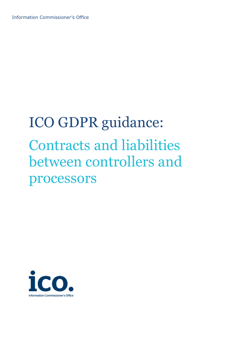Information Commissioner's Office

# ICO GDPR guidance: Contracts and liabilities between controllers and processors

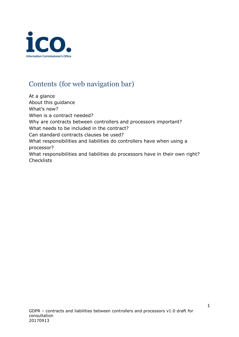

# Contents (for web navigation bar)

At a glance About this guidance What's new? When is a contract needed? Why are contracts between controllers and processors important? What needs to be included in the contract? Can standard contracts clauses be used? What responsibilities and liabilities do controllers have when using a processor? What responsibilities and liabilities do processors have in their own right? **Checklists**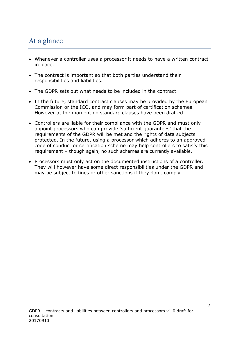# At a glance

- Whenever a controller uses a processor it needs to have a written contract in place.
- The contract is important so that both parties understand their responsibilities and liabilities.
- The GDPR sets out what needs to be included in the contract.
- In the future, standard contract clauses may be provided by the European Commission or the ICO, and may form part of certification schemes. However at the moment no standard clauses have been drafted.
- Controllers are liable for their compliance with the GDPR and must only appoint processors who can provide 'sufficient guarantees' that the requirements of the GDPR will be met and the rights of data subjects protected. In the future, using a processor which adheres to an approved code of conduct or certification scheme may help controllers to satisfy this requirement – though again, no such schemes are currently available.
- Processors must only act on the documented instructions of a controller. They will however have some direct responsibilities under the GDPR and may be subject to fines or other sanctions if they don't comply.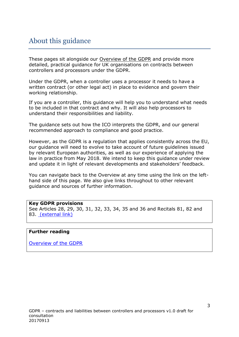# About this guidance

These pages sit alongside our [Overview of the GDPR](https://ico.org.uk/for-organisations/data-protection-reform/overview-of-the-gdpr/introduction/) and provide more detailed, practical guidance for UK organisations on contracts between controllers and processors under the GDPR.

Under the GDPR, when a controller uses a processor it needs to have a written contract (or other legal act) in place to evidence and govern their working relationship.

If you are a controller, this guidance will help you to understand what needs to be included in that contract and why. It will also help processors to understand their responsibilities and liability.

The guidance sets out how the ICO interprets the GDPR, and our general recommended approach to compliance and good practice.

However, as the GDPR is a regulation that applies consistently across the EU, our guidance will need to evolve to take account of future guidelines issued by relevant European authorities, as well as our experience of applying the law in practice from May 2018. We intend to keep this guidance under review and update it in light of relevant developments and stakeholders' feedback.

You can navigate back to the Overview at any time using the link on the lefthand side of this page. We also give links throughout to other relevant guidance and sources of further information.

### **Key GDPR provisions**

See Articles 28, 29, 30, 31, 32, [33, 34, 35 and 36](http://eur-lex.europa.eu/legal-content/EN/TXT/PDF/?uri=CELEX:32016R0679&from=EN) and Recitals 81, 82 and 83. [\(external link\)](http://eur-lex.europa.eu/legal-content/EN/TXT/PDF/?uri=CELEX:32016R0679&from=EN)

#### **Further reading**

[Overview of the GDPR](https://ico.org.uk/for-organisations/data-protection-reform/overview-of-the-gdpr/)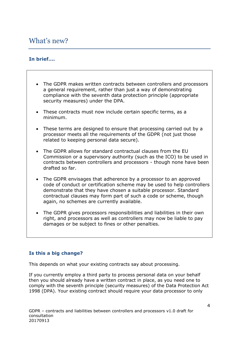# What's new?

### **In brief….**

- The GDPR makes written contracts between controllers and processors a general requirement, rather than just a way of demonstrating compliance with the seventh data protection principle (appropriate security measures) under the DPA.
- These contracts must now include certain specific terms, as a minimum.
- These terms are designed to ensure that processing carried out by a processor meets all the requirements of the GDPR (not just those related to keeping personal data secure).
- The GDPR allows for standard contractual clauses from the EU Commission or a supervisory authority (such as the ICO) to be used in contracts between controllers and processors - though none have been drafted so far.
- The GDPR envisages that adherence by a processor to an approved code of conduct or certification scheme may be used to help controllers demonstrate that they have chosen a suitable processor. Standard contractual clauses may form part of such a code or scheme, though again, no schemes are currently available.
- The GDPR gives processors responsibilities and liabilities in their own right, and processors as well as controllers may now be liable to pay damages or be subject to fines or other penalties.

### **Is this a big change?**

This depends on what your existing contracts say about processing.

If you currently employ a third party to process personal data on your behalf then you should already have a written contract in place, as you need one to comply with the seventh principle (security measures) of the Data Protection Act 1998 (DPA). Your existing contract should require your data processor to only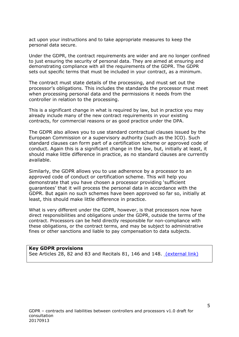act upon your instructions and to take appropriate measures to keep the personal data secure.

Under the GDPR, the contract requirements are wider and are no longer confined to just ensuring the security of personal data. They are aimed at ensuring and demonstrating compliance with all the requirements of the GDPR. The GDPR sets out specific terms that must be included in your contract, as a minimum.

The contract must state details of the processing, and must set out the processor's obligations. This includes the standards the processor must meet when processing personal data and the permissions it needs from the controller in relation to the processing.

This is a significant change in what is required by law, but in practice you may already include many of the new contract requirements in your existing contracts, for commercial reasons or as good practice under the DPA.

The GDPR also allows you to use standard contractual clauses issued by the European Commission or a supervisory authority (such as the ICO). Such standard clauses can form part of a certification scheme or approved code of conduct. Again this is a significant change in the law, but, initially at least, it should make little difference in practice, as no standard clauses are currently available.

Similarly, the GDPR allows you to use adherence by a processor to an approved code of conduct or certification scheme. This will help you demonstrate that you have chosen a processor providing 'sufficient guarantees' that it will process the personal data in accordance with the GDPR. But again no such schemes have been approved so far so, initially at least, this should make little difference in practice.

What is very different under the GDPR, however, is that processors now have direct responsibilities and obligations under the GDPR, outside the terms of the contract. Processors can be held directly responsible for non-compliance with these obligations, or the contract terms, and may be subject to administrative fines or other sanctions and liable to pay compensation to data subjects.

#### **Key GDPR provisions**

See Articles 28, 82 and 83 and Recitals [81, 146 and 148. \(external link\)](http://eur-lex.europa.eu/legal-content/EN/TXT/PDF/?uri=CELEX:32016R0679&from=EN)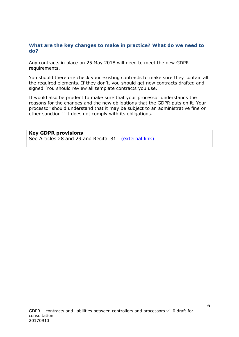### **What are the key changes to make in practice? What do we need to do?**

Any contracts in place on 25 May 2018 will need to meet the new GDPR requirements.

You should therefore check your existing contracts to make sure they contain all the required elements. If they don't, you should get new contracts drafted and signed. You should review all template contracts you use.

It would also be prudent to make sure that your processor understands the reasons for the changes and the new obligations that the GDPR puts on it. Your processor should understand that it may be subject to an administrative fine or other sanction if it does not comply with its obligations.

**Key GDPR provisions** See Articles 28 and 29 [and Recital 81. \(external link\)](http://eur-lex.europa.eu/legal-content/EN/TXT/PDF/?uri=CELEX:32016R0679&from=EN)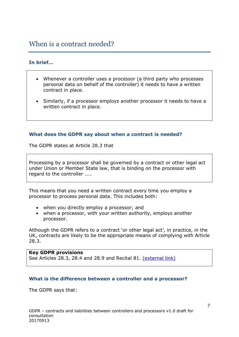### When is a contract needed?

### **In brief…**

- Whenever a controller uses a processor (a third party who processes personal data on behalf of the controller) it needs to have a written contract in place.
- Similarly, if a processor employs another processor it needs to have a written contract in place.

### **What does the GDPR say about when a contract is needed?**

The GDPR states at Article 28.3 that

Processing by a processor shall be governed by a contract or other legal act under Union or Member State law, that is binding on the processor with regard to the controller ……

This means that you need a written contract every time you employ a processor to process personal data. This includes both:

- when you directly employ a processor; and
- when a processor, with your written authority, employs another processor.

Although the GDPR refers to a contract 'or other legal act', in practice, in the UK, contracts are likely to be the appropriate means of complying with Article 28.3.

#### **Key GDPR provisions** See Articles 28.3, 28.4 and 28.9 and Recital 81. [\(external link\)](http://eur-lex.europa.eu/legal-content/EN/TXT/PDF/?uri=CELEX:32016R0679&from=EN)

### **What is the difference between a controller and a processor?**

The GDPR says that: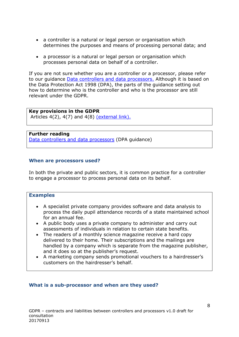- a controller is a natural or legal person or organisation which determines the purposes and means of processing personal data; and
- a processor is a natural or legal person or organisation which processes personal data on behalf of a controller.

If you are not sure whether you are a controller or a processor, please refer to our guidance **Data controllers and data processors.** Although it is based on the Data Protection Act 1998 (DPA), the parts of the guidance setting out how to determine who is the controller and who is the processor are still relevant under the GDPR.

### **Key provisions in the GDPR**

Articles  $4(2)$ ,  $4(7)$  and  $4(8)$  [\(external link\).](http://eur-lex.europa.eu/legal-content/EN/TXT/PDF/?uri=CELEX:32016R0679&from=EN)

### **Further reading**

[Data controllers and data processors](https://ico.org.uk/media/for-organisations/documents/1546/data-controllers-and-data-processors-dp-guidance.pdf) (DPA guidance)

#### **When are processors used?**

In both the private and public sectors, it is common practice for a controller to engage a processor to process personal data on its behalf.

### **Examples**

- A specialist private company provides software and data analysis to process the daily pupil attendance records of a state maintained school for an annual fee.
- A public body uses a private company to administer and carry out assessments of individuals in relation to certain state benefits.
- The readers of a monthly science magazine receive a hard copy delivered to their home. Their subscriptions and the mailings are handled by a company which is separate from the magazine publisher, and it does so at the publisher's request.
- A marketing company sends promotional vouchers to a hairdresser's customers on the hairdresser's behalf.

### **What is a sub-processor and when are they used?**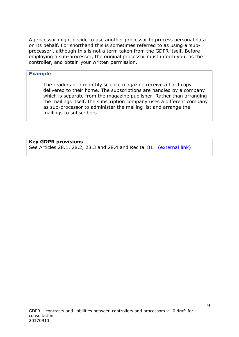A processor might decide to use another processor to process personal data on its behalf. For shorthand this is sometimes referred to as using a 'subprocessor', although this is not a term taken from the GDPR itself. Before employing a sub-processor, the original processor must inform you, as the controller, and obtain your written permission.

### **Example**

The readers of a monthly science magazine receive a hard copy delivered to their home. The subscriptions are handled by a company which is separate from the magazine publisher. Rather than arranging the mailings itself, the subscription company uses a different company as sub-processor to administer the mailing list and arrange the mailings to subscribers.

#### **Key GDPR provisions**

See Articles [28.1, 28.2, 28.3](http://eur-lex.europa.eu/legal-content/EN/TXT/PDF/?uri=CELEX:32016R0679&from=EN) and 28.4 and Recital 81. (external link)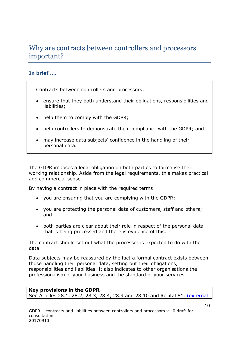## Why are contracts between controllers and processors important?

### **In brief ….**

Contracts between controllers and processors:

- ensure that they both understand their obligations, responsibilities and liabilities;
- help them to comply with the GDPR;
- help controllers to demonstrate their compliance with the GDPR; and
- may increase data subjects' confidence in the handling of their personal data.

The GDPR imposes a legal obligation on both parties to formalise their working relationship. Aside from the legal requirements, this makes practical and commercial sense.

By having a contract in place with the required terms:

- you are ensuring that you are complying with the GDPR;
- you are protecting the personal data of customers, staff and others; and
- both parties are clear about their role in respect of the personal data that is being processed and there is evidence of this.

The contract should set out what the processor is expected to do with the data.

Data subjects may be reassured by the fact a formal contract exists between those handling their personal data, setting out their obligations, responsibilities and liabilities. It also indicates to other organisations the professionalism of your business and the standard of your services.

**Key provisions in the GDPR** See Articles 28.1, 28.2, 28.3, 28.4, 28.9 and 28.10 and Recital 81. [\(external](http://eur-lex.europa.eu/legal-content/EN/TXT/PDF/?uri=CELEX:32016R0679&from=EN)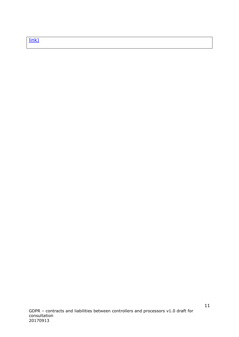### [link\)](http://eur-lex.europa.eu/legal-content/EN/TXT/PDF/?uri=CELEX:32016R0679&from=EN)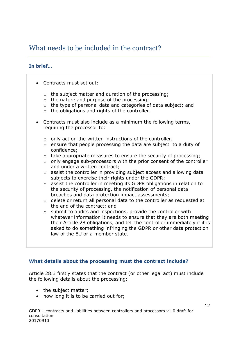# What needs to be included in the contract?

### **In brief…**

| Contracts must set out:                                                               |                                                                                                                                                                                                                                                                                                                                                                                                                                                                                                                                                                                                                                                                                                                                                                                                                                                                                                                                                                                                                                                                                      |
|---------------------------------------------------------------------------------------|--------------------------------------------------------------------------------------------------------------------------------------------------------------------------------------------------------------------------------------------------------------------------------------------------------------------------------------------------------------------------------------------------------------------------------------------------------------------------------------------------------------------------------------------------------------------------------------------------------------------------------------------------------------------------------------------------------------------------------------------------------------------------------------------------------------------------------------------------------------------------------------------------------------------------------------------------------------------------------------------------------------------------------------------------------------------------------------|
| $\circ$<br>$\Omega$<br>$\circ$<br>$\circ$                                             | the subject matter and duration of the processing;<br>the nature and purpose of the processing;<br>the type of personal data and categories of data subject; and<br>the obligations and rights of the controller.                                                                                                                                                                                                                                                                                                                                                                                                                                                                                                                                                                                                                                                                                                                                                                                                                                                                    |
|                                                                                       | Contracts must also include as a minimum the following terms,<br>requiring the processor to:                                                                                                                                                                                                                                                                                                                                                                                                                                                                                                                                                                                                                                                                                                                                                                                                                                                                                                                                                                                         |
| $\circ$<br>$\circ$<br>$\circ$<br>$\circ$<br>$\circ$<br>$\circ$<br>$\Omega$<br>$\circ$ | only act on the written instructions of the controller;<br>ensure that people processing the data are subject to a duty of<br>confidence;<br>take appropriate measures to ensure the security of processing;<br>only engage sub-processors with the prior consent of the controller<br>and under a written contract;<br>assist the controller in providing subject access and allowing data<br>subjects to exercise their rights under the GDPR;<br>assist the controller in meeting its GDPR obligations in relation to<br>the security of processing, the notification of personal data<br>breaches and data protection impact assessments;<br>delete or return all personal data to the controller as requested at<br>the end of the contract; and<br>submit to audits and inspections, provide the controller with<br>whatever information it needs to ensure that they are both meeting<br>their Article 28 obligations, and tell the controller immediately if it is<br>asked to do something infringing the GDPR or other data protection<br>law of the EU or a member state. |
|                                                                                       |                                                                                                                                                                                                                                                                                                                                                                                                                                                                                                                                                                                                                                                                                                                                                                                                                                                                                                                                                                                                                                                                                      |

### **What details about the processing must the contract include?**

Article 28.3 firstly states that the contract (or other legal act) must include the following details about the processing:

- the subject matter;
- how long it is to be carried out for;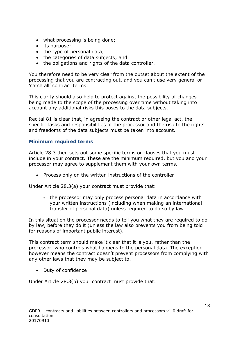- what processing is being done;
- its purpose;
- the type of personal data;
- the categories of data subjects; and
- the obligations and rights of the data controller.

You therefore need to be very clear from the outset about the extent of the processing that you are contracting out, and you can't use very general or 'catch all' contract terms.

This clarity should also help to protect against the possibility of changes being made to the scope of the processing over time without taking into account any additional risks this poses to the data subjects.

Recital 81 is clear that, in agreeing the contract or other legal act, the specific tasks and responsibilities of the processor and the risk to the rights and freedoms of the data subjects must be taken into account.

### **Minimum required terms**

Article 28.3 then sets out some specific terms or clauses that you must include in your contract. These are the minimum required, but you and your processor may agree to supplement them with your own terms.

• Process only on the written instructions of the controller

Under Article 28.3(a) your contract must provide that:

 $\circ$  the processor may only process personal data in accordance with your written instructions (including when making an international transfer of personal data) unless required to do so by law.

In this situation the processor needs to tell you what they are required to do by law, before they do it (unless the law also prevents you from being told for reasons of important public interest).

This contract term should make it clear that it is you, rather than the processor, who controls what happens to the personal data. The exception however means the contract doesn't prevent processors from complying with any other laws that they may be subject to.

• Duty of confidence

Under Article 28.3(b) your contract must provide that: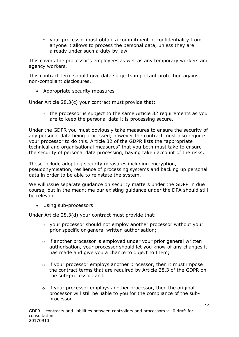o your processor must obtain a commitment of confidentiality from anyone it allows to process the personal data, unless they are already under such a duty by law.

This covers the processor's employees as well as any temporary workers and agency workers.

This contract term should give data subjects important protection against non-compliant disclosures.

• Appropriate security measures

Under Article 28.3(c) your contract must provide that:

 $\circ$  the processor is subject to the same Article 32 requirements as you are to keep the personal data it is processing secure.

Under the GDPR you must obviously take measures to ensure the security of any personal data being processed; however the contract must also require your processor to do this. Article 32 of the GDPR lists the "appropriate technical and organisational measures" that you both must take to ensure the security of personal data processing, having taken account of the risks.

These include adopting security measures including encryption, pseudonymisation, resilience of processing systems and backing up personal data in order to be able to reinstate the system.

We will issue separate guidance on security matters under the GDPR in due course, but in the meantime our existing guidance under the DPA should still be relevant.

Using sub-processors

Under Article 28.3(d) your contract must provide that:

- o your processor should not employ another processor without your prior specific or general written authorisation;
- $\circ$  if another processor is employed under your prior general written authorisation, your processor should let you know of any changes it has made and give you a chance to object to them;
- $\circ$  if your processor employs another processor, then it must impose the contract terms that are required by Article 28.3 of the GDPR on the sub-processor; and
- o if your processor employs another processor, then the original processor will still be liable to you for the compliance of the subprocessor.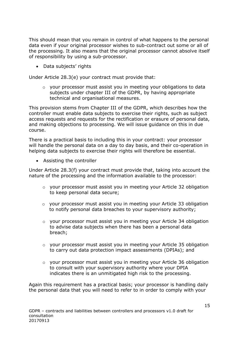This should mean that you remain in control of what happens to the personal data even if your original processor wishes to sub-contract out some or all of the processing. It also means that the original processor cannot absolve itself of responsibility by using a sub-processor.

• Data subjects' rights

Under Article 28.3(e) your contract must provide that:

 $\circ$  your processor must assist you in meeting your obligations to data subjects under chapter III of the GDPR, by having appropriate technical and organisational measures.

This provision stems from Chapter III of the GDPR, which describes how the controller must enable data subjects to exercise their rights, such as subject access requests and requests for the rectification or erasure of personal data, and making objections to processing. We will issue guidance on this in due course.

There is a practical basis to including this in your contract: your processor will handle the personal data on a day to day basis, and their co-operation in helping data subjects to exercise their rights will therefore be essential.

• Assisting the controller

Under Article 28.3(f) your contract must provide that, taking into account the nature of the processing and the information available to the processor:

- o your processor must assist you in meeting your Article 32 obligation to keep personal data secure;
- o your processor must assist you in meeting your Article 33 obligation to notify personal data breaches to your supervisory authority;
- $\circ$  vour processor must assist you in meeting your Article 34 obligation to advise data subjects when there has been a personal data breach;
- o your processor must assist you in meeting your Article 35 obligation to carry out data protection impact assessments (DPIAs); and
- o your processor must assist you in meeting your Article 36 obligation to consult with your supervisory authority where your DPIA indicates there is an unmitigated high risk to the processing.

Again this requirement has a practical basis; your processor is handling daily the personal data that you will need to refer to in order to comply with your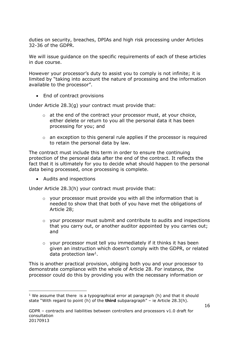duties on security, breaches, DPIAs and high risk processing under Articles 32-36 of the GDPR.

We will issue guidance on the specific requirements of each of these articles in due course.

However your processor's duty to assist you to comply is not infinite; it is limited by "taking into account the nature of processing and the information available to the processor".

• End of contract provisions

Under Article 28.3(g) your contract must provide that:

- $\circ$  at the end of the contract your processor must, at your choice, either delete or return to you all the personal data it has been processing for you; and
- o an exception to this general rule applies if the processor is required to retain the personal data by law.

The contract must include this term in order to ensure the continuing protection of the personal data after the end of the contract. It reflects the fact that it is ultimately for you to decide what should happen to the personal data being processed, once processing is complete.

Audits and inspections

Under Article 28.3(h) your contract must provide that:

- o your processor must provide you with all the information that is needed to show that that both of you have met the obligations of Article 28;
- o your processor must submit and contribute to audits and inspections that you carry out, or another auditor appointed by you carries out; and
- o your processor must tell you immediately if it thinks it has been given an instruction which doesn't comply with the GDPR, or related data protection law<sup>1</sup>.

This is another practical provision, obliging both you and your processor to demonstrate compliance with the whole of Article 28. For instance, the processor could do this by providing you with the necessary information or

<sup>-</sup><sup>1</sup> We assume that there is a typographical error at paragraph (h) and that it should state "With regard to point (h) of the **third** subparagraph" – ie Article 28.3(h).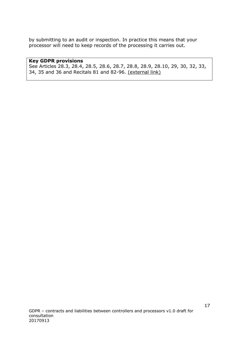by submitting to an audit or inspection. In practice this means that your processor will need to keep records of the processing it carries out.

### **Key GDPR provisions**

See Articles 28.3, 28.4, 28.5, 28.6, 28.7, 28.8, 28.9, 28.10, 29, 30, 32, 33, 34, 35 and 36 and Recitals 81 and 82-96. [\(external link\)](http://eur-lex.europa.eu/legal-content/EN/TXT/PDF/?uri=CELEX:32016R0679&from=EN)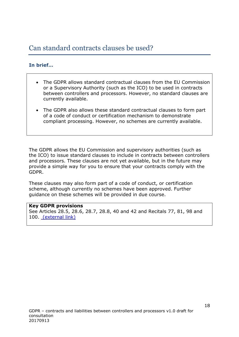### Can standard contracts clauses be used?

### **In brief…**

- The GDPR allows standard contractual clauses from the EU Commission or a Supervisory Authority (such as the ICO) to be used in contracts between controllers and processors. However, no standard clauses are currently available.
- The GDPR also allows these standard contractual clauses to form part of a code of conduct or certification mechanism to demonstrate compliant processing. However, no schemes are currently available.

The GDPR allows the EU Commission and supervisory authorities (such as the ICO) to issue standard clauses to include in contracts between controllers and processors. These clauses are not yet available, but in the future may provide a simple way for you to ensure that your contracts comply with the GDPR.

These clauses may also form part of a code of conduct, or certification scheme, although currently no schemes have been approved. Further guidance on these schemes will be provided in due course.

#### **Key GDPR provisions**

See Articles 28.5, 28.6, 28.7, 28.8, 40 and 42 [and Recitals 77,](http://eur-lex.europa.eu/legal-content/EN/TXT/PDF/?uri=CELEX:32016R0679&from=EN) 81, 98 and [100. \(external link\)](http://eur-lex.europa.eu/legal-content/EN/TXT/PDF/?uri=CELEX:32016R0679&from=EN)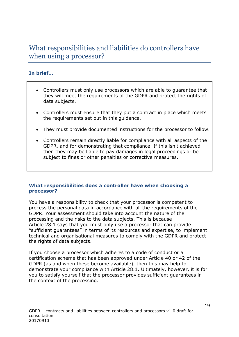# What responsibilities and liabilities do controllers have when using a processor?

### **In brief…**

- Controllers must only use processors which are able to guarantee that they will meet the requirements of the GDPR and protect the rights of data subjects.
- Controllers must ensure that they put a contract in place which meets the requirements set out in this guidance.
- They must provide documented instructions for the processor to follow.
- Controllers remain directly liable for compliance with all aspects of the GDPR, and for demonstrating that compliance. If this isn't achieved then they may be liable to pay damages in legal proceedings or be subject to fines or other penalties or corrective measures.

### **What responsibilities does a controller have when choosing a processor?**

You have a responsibility to check that your processor is competent to process the personal data in accordance with all the requirements of the GDPR. Your assessment should take into account the nature of the processing and the risks to the data subjects. This is because Article 28.1 says that you must only use a processor that can provide "sufficient guarantees" in terms of its resources and expertise, to implement technical and organisational measures to comply with the GDPR and protect the rights of data subjects.

If you choose a processor which adheres to a code of conduct or a certification scheme that has been approved under Article 40 or 42 of the GDPR (as and when these become available), then this may help to demonstrate your compliance with Article 28.1. Ultimately, however, it is for you to satisfy yourself that the processor provides sufficient guarantees in the context of the processing.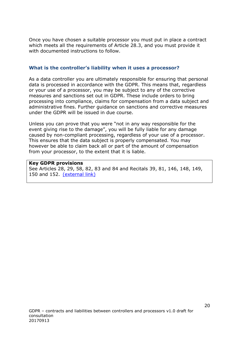Once you have chosen a suitable processor you must put in place a contract which meets all the requirements of Article 28.3, and you must provide it with documented instructions to follow.

### **What is the controller's liability when it uses a processor?**

As a data controller you are ultimately responsible for ensuring that personal data is processed in accordance with the GDPR. This means that, regardless or your use of a processor, you may be subject to any of the corrective measures and sanctions set out in GDPR. These include orders to bring processing into compliance, claims for compensation from a data subject and administrative fines. Further guidance on sanctions and corrective measures under the GDPR will be issued in due course.

Unless you can prove that you were "not in any way responsible for the event giving rise to the damage", you will be fully liable for any damage caused by non-compliant processing, regardless of your use of a processor. This ensures that the data subject is properly compensated. You may however be able to claim back all or part of the amount of compensation from your processor, to the extent that it is liable.

#### **Key GDPR provisions**

See Articles 28, 29, 58, 82, 83 and 84 and Recitals 39, 81, 146, 148, 149, 150 and 152. [\(external link\)](http://eur-lex.europa.eu/legal-content/EN/TXT/PDF/?uri=CELEX:32016R0679&from=EN)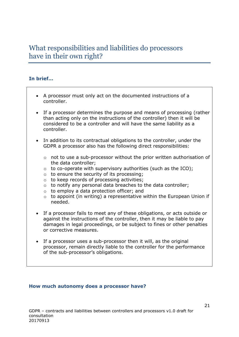## What responsibilities and liabilities do processors have in their own right?

### **In brief…**

- A processor must only act on the documented instructions of a controller.
- If a processor determines the purpose and means of processing (rather than acting only on the instructions of the controller) then it will be considered to be a controller and will have the same liability as a controller.
- In addition to its contractual obligations to the controller, under the GDPR a processor also has the following direct responsibilities:
	- $\circ$  not to use a sub-processor without the prior written authorisation of the data controller;
	- $\circ$  to co-operate with supervisory authorities (such as the ICO);
	- o to ensure the security of its processing;
	- o to keep records of processing activities;
	- o to notify any personal data breaches to the data controller;
	- $\circ$  to employ a data protection officer; and
	- $\circ$  to appoint (in writing) a representative within the European Union if needed.
- If a processor fails to meet any of these obligations, or acts outside or against the instructions of the controller, then it may be liable to pay damages in legal proceedings, or be subject to fines or other penalties or corrective measures.
- If a processor uses a sub-processor then it will, as the original processor, remain directly liable to the controller for the performance of the sub-processor's obligations.

### **How much autonomy does a processor have?**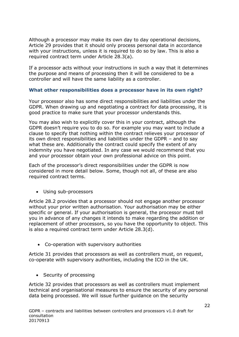Although a processor may make its own day to day operational decisions, Article 29 provides that it should only process personal data in accordance with your instructions, unless it is required to do so by law. This is also a required contract term under Article 28.3(a).

If a processor acts without your instructions in such a way that it determines the purpose and means of processing then it will be considered to be a controller and will have the same liability as a controller.

### **What other responsibilities does a processor have in its own right?**

Your processor also has some direct responsibilities and liabilities under the GDPR. When drawing up and negotiating a contract for data processing, it is good practice to make sure that your processor understands this.

You may also wish to explicitly cover this in your contract, although the GDPR doesn't require you to do so. For example you may want to include a clause to specify that nothing within the contract relieves your processor of its own direct responsibilities and liabilities under the GDPR – and to say what these are. Additionally the contract could specify the extent of any indemnity you have negotiated. In any case we would recommend that you and your processor obtain your own professional advice on this point.

Each of the processor's direct responsibilities under the GDPR is now considered in more detail below. Some, though not all, of these are also required contract terms.

Using sub-processors

Article 28.2 provides that a processor should not engage another processor without your prior written authorisation. Your authorisation may be either specific or general. If your authorisation is general, the processor must tell you in advance of any changes it intends to make regarding the addition or replacement of other processors, so you have the opportunity to object. This is also a required contract term under Article 28.3(d).

Co-operation with supervisory authorities

Article 31 provides that processors as well as controllers must, on request, co-operate with supervisory authorities, including the ICO in the UK.

• Security of processing

Article 32 provides that processors as well as controllers must implement technical and organisational measures to ensure the security of any personal data being processed. We will issue further guidance on the security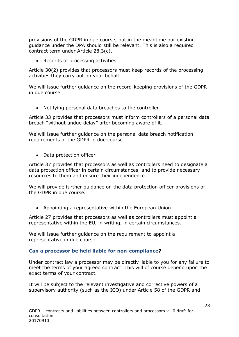provisions of the GDPR in due course, but in the meantime our existing guidance under the DPA should still be relevant. This is also a required contract term under Article 28.3(c).

• Records of processing activities

Article 30(2) provides that processors must keep records of the processing activities they carry out on your behalf.

We will issue further guidance on the record-keeping provisions of the GDPR in due course.

Notifying personal data breaches to the controller

Article 33 provides that processors must inform controllers of a personal data breach "without undue delay" after becoming aware of it.

We will issue further guidance on the personal data breach notification requirements of the GDPR in due course.

• Data protection officer

Article 37 provides that processors as well as controllers need to designate a data protection officer in certain circumstances, and to provide necessary resources to them and ensure their independence.

We will provide further guidance on the data protection officer provisions of the GDPR in due course.

Appointing a representative within the European Union

Article 27 provides that processors as well as controllers must appoint a representative within the EU, in writing, in certain circumstances.

We will issue further guidance on the requirement to appoint a representative in due course.

### **Can a processor be held liable for non-compliance?**

Under contract law a processor may be directly liable to you for any failure to meet the terms of your agreed contract. This will of course depend upon the exact terms of your contract.

It will be subject to the relevant investigative and corrective powers of a supervisory authority (such as the ICO) under Article 58 of the GDPR and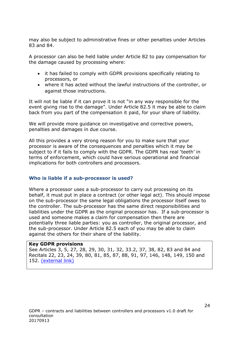may also be subject to administrative fines or other penalties under Articles 83 and 84.

A processor can also be held liable under Article 82 to pay compensation for the damage caused by processing where:

- it has failed to comply with GDPR provisions specifically relating to processors, or
- where it has acted without the lawful instructions of the controller, or against those instructions.

It will not be liable if it can prove it is not "in any way responsible for the event giving rise to the damage". Under Article 82.5 it may be able to claim back from you part of the compensation it paid, for your share of liability.

We will provide more guidance on investigative and corrective powers, penalties and damages in due course.

All this provides a very strong reason for you to make sure that your processor is aware of the consequences and penalties which it may be subject to if it fails to comply with the GDPR. The GDPR has real 'teeth' in terms of enforcement, which could have serious operational and financial implications for both controllers and processors.

### **Who is liable if a sub-processor is used?**

Where a processor uses a sub-processor to carry out processing on its behalf, it must put in place a contract (or other legal act). This should impose on the sub-processor the same legal obligations the processor itself owes to the controller. The sub-processor has the same direct responsibilities and liabilities under the GDPR as the original processor has. If a sub-processor is used and someone makes a claim for compensation then there are potentially three liable parties: you as controller, the original processor, and the sub-processor. Under Article 82.5 each of you may be able to claim against the others for their share of the liability.

### **Key GDPR provisions**

See Articles 3, 5, 27, 28, 29, 30, 31, 32, 33.2, 37, 38, 82, 83 and 84 and Recitals 22, 23, 24, 39, 80, 81, 85, 87, 88, 91, 97, 146, 148, 149, 150 and 152. [\(external link\)](http://eur-lex.europa.eu/legal-content/EN/TXT/PDF/?uri=CELEX:32016R0679&from=EN)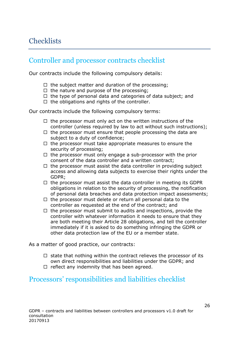# **Checklists**

### Controller and processor contracts checklist

Our contracts include the following compulsory details:

- $\Box$  the subject matter and duration of the processing;
- $\Box$  the nature and purpose of the processing;
- $\Box$  the type of personal data and categories of data subject; and
- $\Box$  the obligations and rights of the controller.

Our contracts include the following compulsory terms:

- $\Box$  the processor must only act on the written instructions of the controller (unless required by law to act without such instructions);
- $\Box$  the processor must ensure that people processing the data are subject to a duty of confidence;
- $\Box$  the processor must take appropriate measures to ensure the security of processing;
- $\Box$  the processor must only engage a sub-processor with the prior consent of the data controller and a written contract;
- $\Box$  the processor must assist the data controller in providing subject access and allowing data subjects to exercise their rights under the GDPR;
- $\Box$  the processor must assist the data controller in meeting its GDPR obligations in relation to the security of processing, the notification of personal data breaches and data protection impact assessments;
- $\Box$  the processor must delete or return all personal data to the controller as requested at the end of the contract; and
- $\Box$  the processor must submit to audits and inspections, provide the controller with whatever information it needs to ensure that they are both meeting their Article 28 obligations, and tell the controller immediately if it is asked to do something infringing the GDPR or other data protection law of the EU or a member state.

As a matter of good practice, our contracts:

- $\Box$  state that nothing within the contract relieves the processor of its own direct responsibilities and liabilities under the GDPR; and
- $\Box$  reflect any indemnity that has been agreed.

### Processors' responsibilities and liabilities checklist